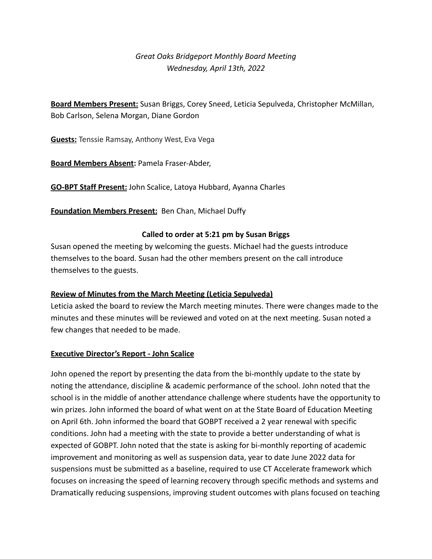# *Great Oaks Bridgeport Monthly Board Meeting Wednesday, April 13th, 2022*

**Board Members Present:** Susan Briggs, Corey Sneed, Leticia Sepulveda, Christopher McMillan, Bob Carlson, Selena Morgan, Diane Gordon

**Guests:** Tenssie Ramsay, Anthony West, Eva Vega

**Board Members Absent:** Pamela Fraser-Abder,

**GO-BPT Staff Present:** John Scalice, Latoya Hubbard, Ayanna Charles

**Foundation Members Present:** Ben Chan, Michael Duffy

### **Called to order at 5:21 pm by Susan Briggs**

Susan opened the meeting by welcoming the guests. Michael had the guests introduce themselves to the board. Susan had the other members present on the call introduce themselves to the guests.

### **Review of Minutes from the March Meeting (Leticia Sepulveda)**

Leticia asked the board to review the March meeting minutes. There were changes made to the minutes and these minutes will be reviewed and voted on at the next meeting. Susan noted a few changes that needed to be made.

### **Executive Director's Report - John Scalice**

John opened the report by presenting the data from the bi-monthly update to the state by noting the attendance, discipline & academic performance of the school. John noted that the school is in the middle of another attendance challenge where students have the opportunity to win prizes. John informed the board of what went on at the State Board of Education Meeting on April 6th. John informed the board that GOBPT received a 2 year renewal with specific conditions. John had a meeting with the state to provide a better understanding of what is expected of GOBPT. John noted that the state is asking for bi-monthly reporting of academic improvement and monitoring as well as suspension data, year to date June 2022 data for suspensions must be submitted as a baseline, required to use CT Accelerate framework which focuses on increasing the speed of learning recovery through specific methods and systems and Dramatically reducing suspensions, improving student outcomes with plans focused on teaching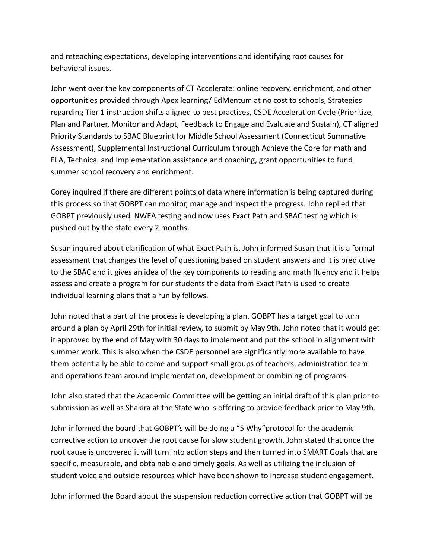and reteaching expectations, developing interventions and identifying root causes for behavioral issues.

John went over the key components of CT Accelerate: online recovery, enrichment, and other opportunities provided through Apex learning/ EdMentum at no cost to schools, Strategies regarding Tier 1 instruction shifts aligned to best practices, CSDE Acceleration Cycle (Prioritize, Plan and Partner, Monitor and Adapt, Feedback to Engage and Evaluate and Sustain), CT aligned Priority Standards to SBAC Blueprint for Middle School Assessment (Connecticut Summative Assessment), Supplemental Instructional Curriculum through Achieve the Core for math and ELA, Technical and Implementation assistance and coaching, grant opportunities to fund summer school recovery and enrichment.

Corey inquired if there are different points of data where information is being captured during this process so that GOBPT can monitor, manage and inspect the progress. John replied that GOBPT previously used NWEA testing and now uses Exact Path and SBAC testing which is pushed out by the state every 2 months.

Susan inquired about clarification of what Exact Path is. John informed Susan that it is a formal assessment that changes the level of questioning based on student answers and it is predictive to the SBAC and it gives an idea of the key components to reading and math fluency and it helps assess and create a program for our students the data from Exact Path is used to create individual learning plans that a run by fellows.

John noted that a part of the process is developing a plan. GOBPT has a target goal to turn around a plan by April 29th for initial review, to submit by May 9th. John noted that it would get it approved by the end of May with 30 days to implement and put the school in alignment with summer work. This is also when the CSDE personnel are significantly more available to have them potentially be able to come and support small groups of teachers, administration team and operations team around implementation, development or combining of programs.

John also stated that the Academic Committee will be getting an initial draft of this plan prior to submission as well as Shakira at the State who is offering to provide feedback prior to May 9th.

John informed the board that GOBPT's will be doing a "5 Why"protocol for the academic corrective action to uncover the root cause for slow student growth. John stated that once the root cause is uncovered it will turn into action steps and then turned into SMART Goals that are specific, measurable, and obtainable and timely goals. As well as utilizing the inclusion of student voice and outside resources which have been shown to increase student engagement.

John informed the Board about the suspension reduction corrective action that GOBPT will be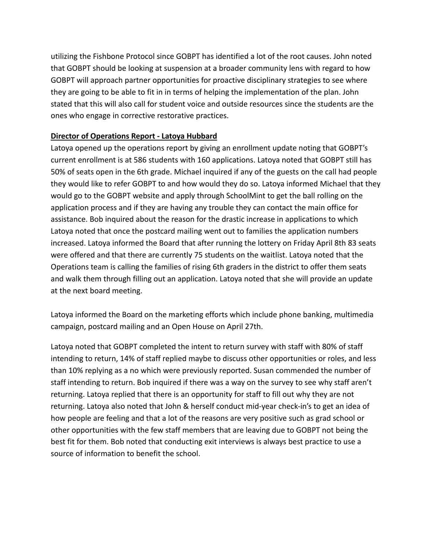utilizing the Fishbone Protocol since GOBPT has identified a lot of the root causes. John noted that GOBPT should be looking at suspension at a broader community lens with regard to how GOBPT will approach partner opportunities for proactive disciplinary strategies to see where they are going to be able to fit in in terms of helping the implementation of the plan. John stated that this will also call for student voice and outside resources since the students are the ones who engage in corrective restorative practices.

## **Director of Operations Report - Latoya Hubbard**

Latoya opened up the operations report by giving an enrollment update noting that GOBPT's current enrollment is at 586 students with 160 applications. Latoya noted that GOBPT still has 50% of seats open in the 6th grade. Michael inquired if any of the guests on the call had people they would like to refer GOBPT to and how would they do so. Latoya informed Michael that they would go to the GOBPT website and apply through SchoolMint to get the ball rolling on the application process and if they are having any trouble they can contact the main office for assistance. Bob inquired about the reason for the drastic increase in applications to which Latoya noted that once the postcard mailing went out to families the application numbers increased. Latoya informed the Board that after running the lottery on Friday April 8th 83 seats were offered and that there are currently 75 students on the waitlist. Latoya noted that the Operations team is calling the families of rising 6th graders in the district to offer them seats and walk them through filling out an application. Latoya noted that she will provide an update at the next board meeting.

Latoya informed the Board on the marketing efforts which include phone banking, multimedia campaign, postcard mailing and an Open House on April 27th.

Latoya noted that GOBPT completed the intent to return survey with staff with 80% of staff intending to return, 14% of staff replied maybe to discuss other opportunities or roles, and less than 10% replying as a no which were previously reported. Susan commended the number of staff intending to return. Bob inquired if there was a way on the survey to see why staff aren't returning. Latoya replied that there is an opportunity for staff to fill out why they are not returning. Latoya also noted that John & herself conduct mid-year check-in's to get an idea of how people are feeling and that a lot of the reasons are very positive such as grad school or other opportunities with the few staff members that are leaving due to GOBPT not being the best fit for them. Bob noted that conducting exit interviews is always best practice to use a source of information to benefit the school.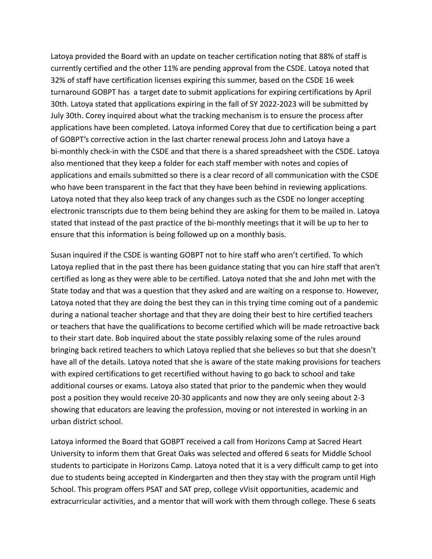Latoya provided the Board with an update on teacher certification noting that 88% of staff is currently certified and the other 11% are pending approval from the CSDE. Latoya noted that 32% of staff have certification licenses expiring this summer, based on the CSDE 16 week turnaround GOBPT has a target date to submit applications for expiring certifications by April 30th. Latoya stated that applications expiring in the fall of SY 2022-2023 will be submitted by July 30th. Corey inquired about what the tracking mechanism is to ensure the process after applications have been completed. Latoya informed Corey that due to certification being a part of GOBPT's corrective action in the last charter renewal process John and Latoya have a bi-monthly check-in with the CSDE and that there is a shared spreadsheet with the CSDE. Latoya also mentioned that they keep a folder for each staff member with notes and copies of applications and emails submitted so there is a clear record of all communication with the CSDE who have been transparent in the fact that they have been behind in reviewing applications. Latoya noted that they also keep track of any changes such as the CSDE no longer accepting electronic transcripts due to them being behind they are asking for them to be mailed in. Latoya stated that instead of the past practice of the bi-monthly meetings that it will be up to her to ensure that this information is being followed up on a monthly basis.

Susan inquired if the CSDE is wanting GOBPT not to hire staff who aren't certified. To which Latoya replied that in the past there has been guidance stating that you can hire staff that aren't certified as long as they were able to be certified. Latoya noted that she and John met with the State today and that was a question that they asked and are waiting on a response to. However, Latoya noted that they are doing the best they can in this trying time coming out of a pandemic during a national teacher shortage and that they are doing their best to hire certified teachers or teachers that have the qualifications to become certified which will be made retroactive back to their start date. Bob inquired about the state possibly relaxing some of the rules around bringing back retired teachers to which Latoya replied that she believes so but that she doesn't have all of the details. Latoya noted that she is aware of the state making provisions for teachers with expired certifications to get recertified without having to go back to school and take additional courses or exams. Latoya also stated that prior to the pandemic when they would post a position they would receive 20-30 applicants and now they are only seeing about 2-3 showing that educators are leaving the profession, moving or not interested in working in an urban district school.

Latoya informed the Board that GOBPT received a call from Horizons Camp at Sacred Heart University to inform them that Great Oaks was selected and offered 6 seats for Middle School students to participate in Horizons Camp. Latoya noted that it is a very difficult camp to get into due to students being accepted in Kindergarten and then they stay with the program until High School. This program offers PSAT and SAT prep, college vVisit opportunities, academic and extracurricular activities, and a mentor that will work with them through college. These 6 seats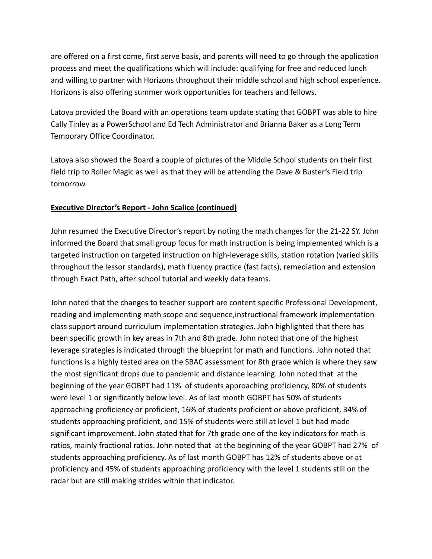are offered on a first come, first serve basis, and parents will need to go through the application process and meet the qualifications which will include: qualifying for free and reduced lunch and willing to partner with Horizons throughout their middle school and high school experience. Horizons is also offering summer work opportunities for teachers and fellows.

Latoya provided the Board with an operations team update stating that GOBPT was able to hire Cally Tinley as a PowerSchool and Ed Tech Administrator and Brianna Baker as a Long Term Temporary Office Coordinator.

Latoya also showed the Board a couple of pictures of the Middle School students on their first field trip to Roller Magic as well as that they will be attending the Dave & Buster's Field trip tomorrow.

# **Executive Director's Report - John Scalice (continued)**

John resumed the Executive Director's report by noting the math changes for the 21-22 SY. John informed the Board that small group focus for math instruction is being implemented which is a targeted instruction on targeted instruction on high-leverage skills, station rotation (varied skills throughout the lessor standards), math fluency practice (fast facts), remediation and extension through Exact Path, after school tutorial and weekly data teams.

John noted that the changes to teacher support are content specific Professional Development, reading and implementing math scope and sequence,instructional framework implementation class support around curriculum implementation strategies. John highlighted that there has been specific growth in key areas in 7th and 8th grade. John noted that one of the highest leverage strategies is indicated through the blueprint for math and functions. John noted that functions is a highly tested area on the SBAC assessment for 8th grade which is where they saw the most significant drops due to pandemic and distance learning. John noted that at the beginning of the year GOBPT had 11% of students approaching proficiency, 80% of students were level 1 or significantly below level. As of last month GOBPT has 50% of students approaching proficiency or proficient, 16% of students proficient or above proficient, 34% of students approaching proficient, and 15% of students were still at level 1 but had made significant improvement. John stated that for 7th grade one of the key indicators for math is ratios, mainly fractional ratios. John noted that at the beginning of the year GOBPT had 27% of students approaching proficiency. As of last month GOBPT has 12% of students above or at proficiency and 45% of students approaching proficiency with the level 1 students still on the radar but are still making strides within that indicator.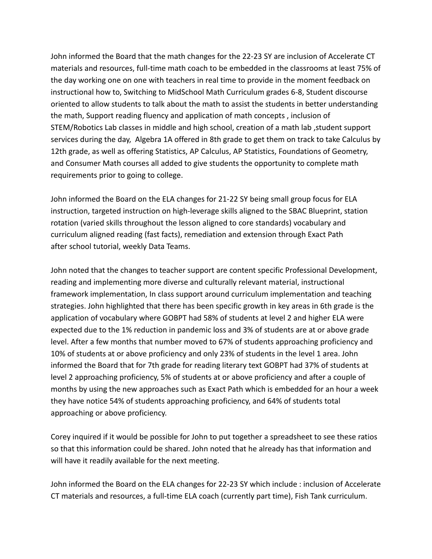John informed the Board that the math changes for the 22-23 SY are inclusion of Accelerate CT materials and resources, full-time math coach to be embedded in the classrooms at least 75% of the day working one on one with teachers in real time to provide in the moment feedback on instructional how to, Switching to MidSchool Math Curriculum grades 6-8, Student discourse oriented to allow students to talk about the math to assist the students in better understanding the math, Support reading fluency and application of math concepts , inclusion of STEM/Robotics Lab classes in middle and high school, creation of a math lab ,student support services during the day, Algebra 1A offered in 8th grade to get them on track to take Calculus by 12th grade, as well as offering Statistics, AP Calculus, AP Statistics, Foundations of Geometry, and Consumer Math courses all added to give students the opportunity to complete math requirements prior to going to college.

John informed the Board on the ELA changes for 21-22 SY being small group focus for ELA instruction, targeted instruction on high-leverage skills aligned to the SBAC Blueprint, station rotation (varied skills throughout the lesson aligned to core standards) vocabulary and curriculum aligned reading (fast facts), remediation and extension through Exact Path after school tutorial, weekly Data Teams.

John noted that the changes to teacher support are content specific Professional Development, reading and implementing more diverse and culturally relevant material, instructional framework implementation, In class support around curriculum implementation and teaching strategies. John highlighted that there has been specific growth in key areas in 6th grade is the application of vocabulary where GOBPT had 58% of students at level 2 and higher ELA were expected due to the 1% reduction in pandemic loss and 3% of students are at or above grade level. After a few months that number moved to 67% of students approaching proficiency and 10% of students at or above proficiency and only 23% of students in the level 1 area. John informed the Board that for 7th grade for reading literary text GOBPT had 37% of students at level 2 approaching proficiency, 5% of students at or above proficiency and after a couple of months by using the new approaches such as Exact Path which is embedded for an hour a week they have notice 54% of students approaching proficiency, and 64% of students total approaching or above proficiency.

Corey inquired if it would be possible for John to put together a spreadsheet to see these ratios so that this information could be shared. John noted that he already has that information and will have it readily available for the next meeting.

John informed the Board on the ELA changes for 22-23 SY which include : inclusion of Accelerate CT materials and resources, a full-time ELA coach (currently part time), Fish Tank curriculum.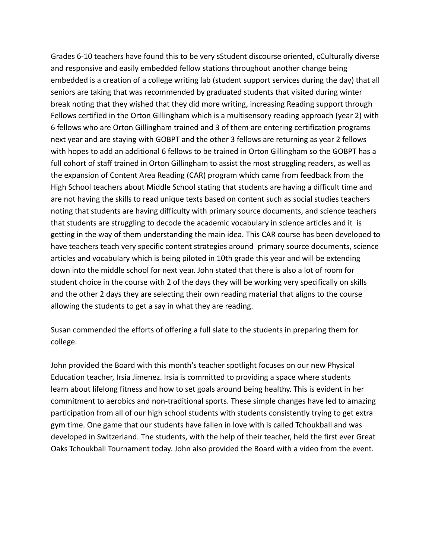Grades 6-10 teachers have found this to be very sStudent discourse oriented, cCulturally diverse and responsive and easily embedded fellow stations throughout another change being embedded is a creation of a college writing lab (student support services during the day) that all seniors are taking that was recommended by graduated students that visited during winter break noting that they wished that they did more writing, increasing Reading support through Fellows certified in the Orton Gillingham which is a multisensory reading approach (year 2) with 6 fellows who are Orton Gillingham trained and 3 of them are entering certification programs next year and are staying with GOBPT and the other 3 fellows are returning as year 2 fellows with hopes to add an additional 6 fellows to be trained in Orton Gillingham so the GOBPT has a full cohort of staff trained in Orton Gillingham to assist the most struggling readers, as well as the expansion of Content Area Reading (CAR) program which came from feedback from the High School teachers about Middle School stating that students are having a difficult time and are not having the skills to read unique texts based on content such as social studies teachers noting that students are having difficulty with primary source documents, and science teachers that students are struggling to decode the academic vocabulary in science articles and it is getting in the way of them understanding the main idea. This CAR course has been developed to have teachers teach very specific content strategies around primary source documents, science articles and vocabulary which is being piloted in 10th grade this year and will be extending down into the middle school for next year. John stated that there is also a lot of room for student choice in the course with 2 of the days they will be working very specifically on skills and the other 2 days they are selecting their own reading material that aligns to the course allowing the students to get a say in what they are reading.

Susan commended the efforts of offering a full slate to the students in preparing them for college.

John provided the Board with this month's teacher spotlight focuses on our new Physical Education teacher, Irsia Jimenez. Irsia is committed to providing a space where students learn about lifelong fitness and how to set goals around being healthy. This is evident in her commitment to aerobics and non-traditional sports. These simple changes have led to amazing participation from all of our high school students with students consistently trying to get extra gym time. One game that our students have fallen in love with is called Tchoukball and was developed in Switzerland. The students, with the help of their teacher, held the first ever Great Oaks Tchoukball Tournament today. John also provided the Board with a video from the event.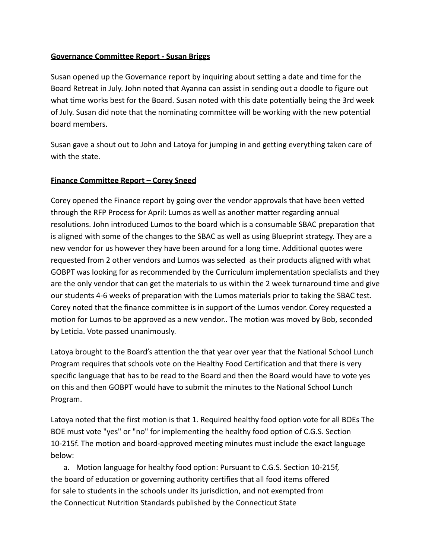### **Governance Committee Report - Susan Briggs**

Susan opened up the Governance report by inquiring about setting a date and time for the Board Retreat in July. John noted that Ayanna can assist in sending out a doodle to figure out what time works best for the Board. Susan noted with this date potentially being the 3rd week of July. Susan did note that the nominating committee will be working with the new potential board members.

Susan gave a shout out to John and Latoya for jumping in and getting everything taken care of with the state.

### **Finance Committee Report – Corey Sneed**

Corey opened the Finance report by going over the vendor approvals that have been vetted through the RFP Process for April: Lumos as well as another matter regarding annual resolutions. John introduced Lumos to the board which is a consumable SBAC preparation that is aligned with some of the changes to the SBAC as well as using Blueprint strategy. They are a new vendor for us however they have been around for a long time. Additional quotes were requested from 2 other vendors and Lumos was selected as their products aligned with what GOBPT was looking for as recommended by the Curriculum implementation specialists and they are the only vendor that can get the materials to us within the 2 week turnaround time and give our students 4-6 weeks of preparation with the Lumos materials prior to taking the SBAC test. Corey noted that the finance committee is in support of the Lumos vendor. Corey requested a motion for Lumos to be approved as a new vendor.. The motion was moved by Bob, seconded by Leticia. Vote passed unanimously.

Latoya brought to the Board's attention the that year over year that the National School Lunch Program requires that schools vote on the Healthy Food Certification and that there is very specific language that has to be read to the Board and then the Board would have to vote yes on this and then GOBPT would have to submit the minutes to the National School Lunch Program.

Latoya noted that the first motion is that 1. Required healthy food option vote for all BOEs The BOE must vote "yes" or "no" for implementing the healthy food option of C.G.S. Section 10-215f. The motion and board-approved meeting minutes must include the exact language below:

a. Motion language for healthy food option: Pursuant to C.G.S. Section 10-215f, the board of education or governing authority certifies that all food items offered for sale to students in the schools under its jurisdiction, and not exempted from the Connecticut Nutrition Standards published by the Connecticut State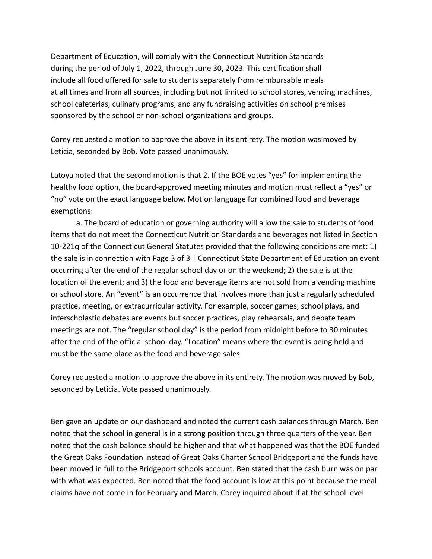Department of Education, will comply with the Connecticut Nutrition Standards during the period of July 1, 2022, through June 30, 2023. This certification shall include all food offered for sale to students separately from reimbursable meals at all times and from all sources, including but not limited to school stores, vending machines, school cafeterias, culinary programs, and any fundraising activities on school premises sponsored by the school or non-school organizations and groups.

Corey requested a motion to approve the above in its entirety. The motion was moved by Leticia, seconded by Bob. Vote passed unanimously.

Latoya noted that the second motion is that 2. If the BOE votes "yes" for implementing the healthy food option, the board-approved meeting minutes and motion must reflect a "yes" or "no" vote on the exact language below. Motion language for combined food and beverage exemptions:

a. The board of education or governing authority will allow the sale to students of food items that do not meet the Connecticut Nutrition Standards and beverages not listed in Section 10-221q of the Connecticut General Statutes provided that the following conditions are met: 1) the sale is in connection with Page 3 of 3 | Connecticut State Department of Education an event occurring after the end of the regular school day or on the weekend; 2) the sale is at the location of the event; and 3) the food and beverage items are not sold from a vending machine or school store. An "event" is an occurrence that involves more than just a regularly scheduled practice, meeting, or extracurricular activity. For example, soccer games, school plays, and interscholastic debates are events but soccer practices, play rehearsals, and debate team meetings are not. The "regular school day" is the period from midnight before to 30 minutes after the end of the official school day. "Location" means where the event is being held and must be the same place as the food and beverage sales.

Corey requested a motion to approve the above in its entirety. The motion was moved by Bob, seconded by Leticia. Vote passed unanimously.

Ben gave an update on our dashboard and noted the current cash balances through March. Ben noted that the school in general is in a strong position through three quarters of the year. Ben noted that the cash balance should be higher and that what happened was that the BOE funded the Great Oaks Foundation instead of Great Oaks Charter School Bridgeport and the funds have been moved in full to the Bridgeport schools account. Ben stated that the cash burn was on par with what was expected. Ben noted that the food account is low at this point because the meal claims have not come in for February and March. Corey inquired about if at the school level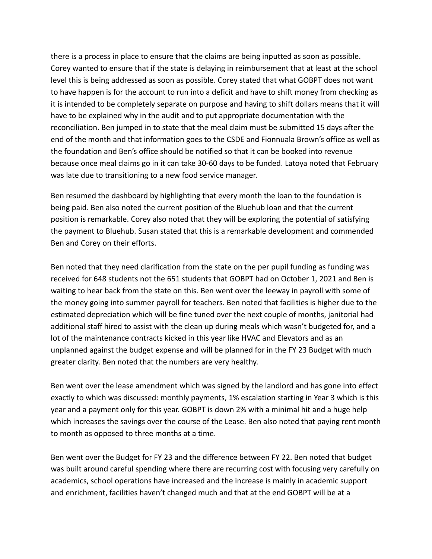there is a process in place to ensure that the claims are being inputted as soon as possible. Corey wanted to ensure that if the state is delaying in reimbursement that at least at the school level this is being addressed as soon as possible. Corey stated that what GOBPT does not want to have happen is for the account to run into a deficit and have to shift money from checking as it is intended to be completely separate on purpose and having to shift dollars means that it will have to be explained why in the audit and to put appropriate documentation with the reconciliation. Ben jumped in to state that the meal claim must be submitted 15 days after the end of the month and that information goes to the CSDE and Fionnuala Brown's office as well as the foundation and Ben's office should be notified so that it can be booked into revenue because once meal claims go in it can take 30-60 days to be funded. Latoya noted that February was late due to transitioning to a new food service manager.

Ben resumed the dashboard by highlighting that every month the loan to the foundation is being paid. Ben also noted the current position of the Bluehub loan and that the current position is remarkable. Corey also noted that they will be exploring the potential of satisfying the payment to Bluehub. Susan stated that this is a remarkable development and commended Ben and Corey on their efforts.

Ben noted that they need clarification from the state on the per pupil funding as funding was received for 648 students not the 651 students that GOBPT had on October 1, 2021 and Ben is waiting to hear back from the state on this. Ben went over the leeway in payroll with some of the money going into summer payroll for teachers. Ben noted that facilities is higher due to the estimated depreciation which will be fine tuned over the next couple of months, janitorial had additional staff hired to assist with the clean up during meals which wasn't budgeted for, and a lot of the maintenance contracts kicked in this year like HVAC and Elevators and as an unplanned against the budget expense and will be planned for in the FY 23 Budget with much greater clarity. Ben noted that the numbers are very healthy.

Ben went over the lease amendment which was signed by the landlord and has gone into effect exactly to which was discussed: monthly payments, 1% escalation starting in Year 3 which is this year and a payment only for this year. GOBPT is down 2% with a minimal hit and a huge help which increases the savings over the course of the Lease. Ben also noted that paying rent month to month as opposed to three months at a time.

Ben went over the Budget for FY 23 and the difference between FY 22. Ben noted that budget was built around careful spending where there are recurring cost with focusing very carefully on academics, school operations have increased and the increase is mainly in academic support and enrichment, facilities haven't changed much and that at the end GOBPT will be at a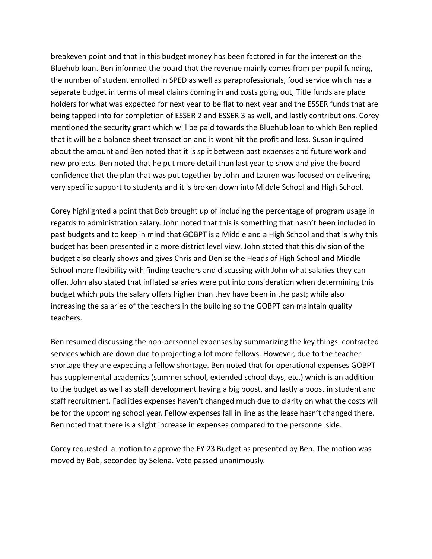breakeven point and that in this budget money has been factored in for the interest on the Bluehub loan. Ben informed the board that the revenue mainly comes from per pupil funding, the number of student enrolled in SPED as well as paraprofessionals, food service which has a separate budget in terms of meal claims coming in and costs going out, Title funds are place holders for what was expected for next year to be flat to next year and the ESSER funds that are being tapped into for completion of ESSER 2 and ESSER 3 as well, and lastly contributions. Corey mentioned the security grant which will be paid towards the Bluehub loan to which Ben replied that it will be a balance sheet transaction and it wont hit the profit and loss. Susan inquired about the amount and Ben noted that it is split between past expenses and future work and new projects. Ben noted that he put more detail than last year to show and give the board confidence that the plan that was put together by John and Lauren was focused on delivering very specific support to students and it is broken down into Middle School and High School.

Corey highlighted a point that Bob brought up of including the percentage of program usage in regards to administration salary. John noted that this is something that hasn't been included in past budgets and to keep in mind that GOBPT is a Middle and a High School and that is why this budget has been presented in a more district level view. John stated that this division of the budget also clearly shows and gives Chris and Denise the Heads of High School and Middle School more flexibility with finding teachers and discussing with John what salaries they can offer. John also stated that inflated salaries were put into consideration when determining this budget which puts the salary offers higher than they have been in the past; while also increasing the salaries of the teachers in the building so the GOBPT can maintain quality teachers.

Ben resumed discussing the non-personnel expenses by summarizing the key things: contracted services which are down due to projecting a lot more fellows. However, due to the teacher shortage they are expecting a fellow shortage. Ben noted that for operational expenses GOBPT has supplemental academics (summer school, extended school days, etc.) which is an addition to the budget as well as staff development having a big boost, and lastly a boost in student and staff recruitment. Facilities expenses haven't changed much due to clarity on what the costs will be for the upcoming school year. Fellow expenses fall in line as the lease hasn't changed there. Ben noted that there is a slight increase in expenses compared to the personnel side.

Corey requested a motion to approve the FY 23 Budget as presented by Ben. The motion was moved by Bob, seconded by Selena. Vote passed unanimously.